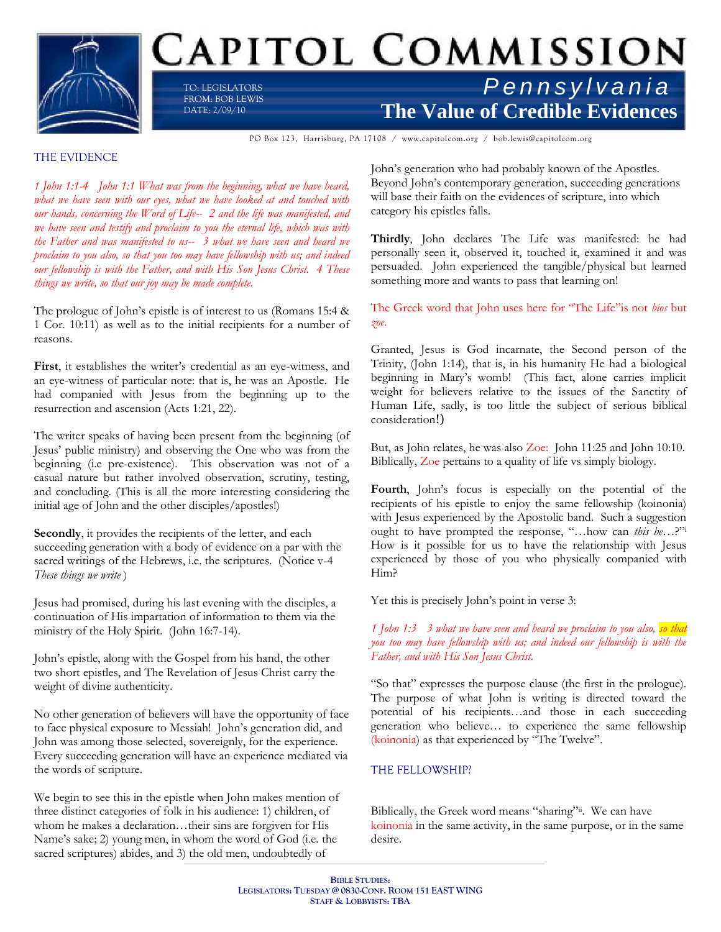

# CAPITOL COMMISSION

TO: LEGISLATORS FROM: BOB LEWIS DATE: 2/09/10

## **The Value of Credible Evidences** *P e n n s y l v a n i a*

PO Box 123, Harrisburg, PA 17108 / www.capitolcom.org / bob.lewis@capitolcom.org

### THE EVIDENCE

*1 John 1:1-4 John 1:1 What was from the beginning, what we have heard, what we have seen with our eyes, what we have looked at and touched with our hands, concerning the Word of Life-- 2 and the life was manifested, and we have seen and testify and proclaim to you the eternal life, which was with the Father and was manifested to us-- 3 what we have seen and heard we proclaim to you also, so that you too may have fellowship with us; and indeed our fellowship is with the Father, and with His Son Jesus Christ. 4 These things we write, so that our joy may be made complete.*

The prologue of John's epistle is of interest to us (Romans 15:4 & 1 Cor. 10:11) as well as to the initial recipients for a number of reasons.

**First**, it establishes the writer's credential as an eye-witness, and an eye-witness of particular note: that is, he was an Apostle. He had companied with Jesus from the beginning up to the resurrection and ascension (Acts 1:21, 22).

The writer speaks of having been present from the beginning (of Jesus' public ministry) and observing the One who was from the beginning (i.e pre-existence). This observation was not of a casual nature but rather involved observation, scrutiny, testing, and concluding. (This is all the more interesting considering the initial age of John and the other disciples/apostles!)

**Secondly**, it provides the recipients of the letter, and each succeeding generation with a body of evidence on a par with the sacred writings of the Hebrews, i.e. the scriptures. (Notice v-4 *These things we write* )

Jesus had promised, during his last evening with the disciples, a continuation of His impartation of information to them via the ministry of the Holy Spirit. (John 16:7-14).

John's epistle, along with the Gospel from his hand, the other two short epistles, and The Revelation of Jesus Christ carry the weight of divine authenticity.

No other generation of believers will have the opportunity of face to face physical exposure to Messiah! John's generation did, and John was among those selected, sovereignly, for the experience. Every succeeding generation will have an experience mediated via the words of scripture.

We begin to see this in the epistle when John makes mention of three distinct categories of folk in his audience: 1) children, of whom he makes a declaration…their sins are forgiven for His Name's sake; 2) young men, in whom the word of God (i.e. the sacred scriptures) abides, and 3) the old men, undoubtedly of

John's generation who had probably known of the Apostles. Beyond John's contemporary generation, succeeding generations will base their faith on the evidences of scripture, into which category his epistles falls.

**Thirdly**, John declares The Life was manifested: he had personally seen it, observed it, touched it, examined it and was persuaded. John experienced the tangible/physical but learned something more and wants to pass that learning on!

#### The Greek word that John uses here for "The Life"is not *bios* but *zoe*.

Granted, Jesus is God incarnate, the Second person of the Trinity, (John 1:14), that is, in his humanity He had a biological beginning in Mary's womb! (This fact, alone carries implicit weight for believers relative to the issues of the Sanctity of Human Life, sadly, is too little the subject of serious biblical consideration!)

But, as John relates, he was also Zoe: John 11:25 and John 10:10. Biblically, Zoe pertains to a quality of life vs simply biology.

**Fourth**, John's focus is especially on the potential of the recipients of his epistle to enjoy the same fellowship (koinonia) with Jesus experienced by the Apostolic band. Such a suggestion ought to have prompted the response, "…how can *this be*…?"<sup>i</sup> How is it possible for us to have the relationship with Jesus experienced by those of you who physically companied with Him?

Yet this is precisely John's point in verse 3:

#### *1 John 1:3 3 what we have seen and heard we proclaim to you also, so that you too may have fellowship with us; and indeed our fellowship is with the Father, and with His Son Jesus Christ.*

"So that" expresses the purpose clause (the first in the prologue). The purpose of what John is writing is directed toward the potential of his recipients…and those in each succeeding generation who believe… to experience the same fellowship (koinonia) as that experienced by "The Twelve".

#### THE FELLOWSHIP?

Biblically, the Greek word means "sharing"ii. We can have koinonia in the same activity, in the same purpose, or in the same desire.